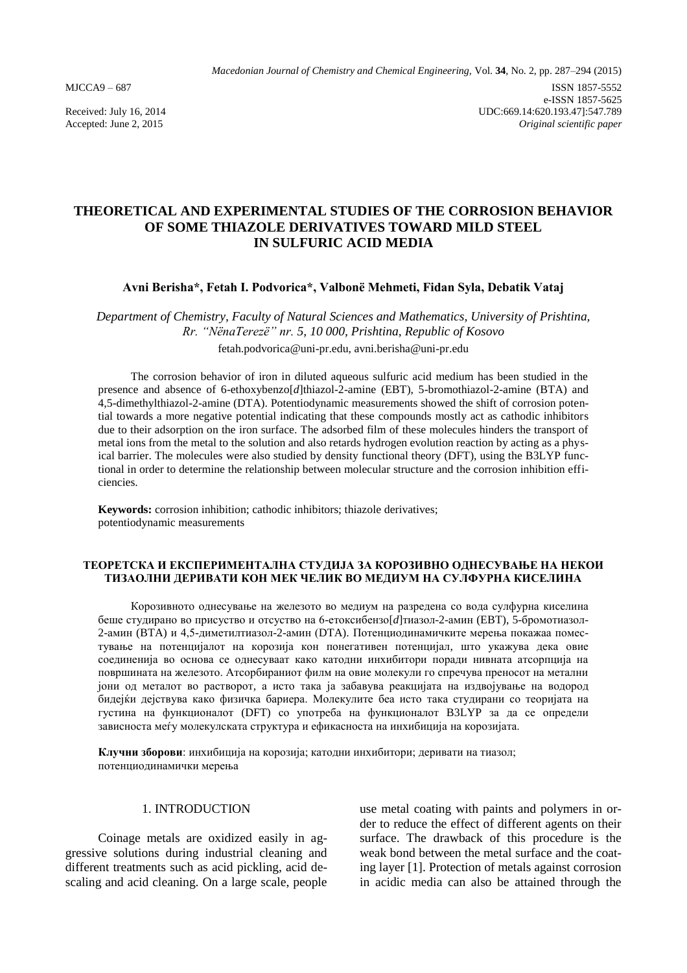# **THEORETICAL AND EXPERIMENTAL STUDIES OF THE CORROSION BEHAVIOR OF SOME THIAZOLE DERIVATIVES TOWARD MILD STEEL IN SULFURIC ACID MEDIA**

# **Avni Berisha\*, Fetah I. Podvorica\*, Valbonë Mehmeti, Fidan Syla, Debatik Vataj**

*Department of Chemistry, Faculty of Natural Sciences and Mathematics, University of Prishtina, Rr. "NënaTerezë" nr. 5, 10 000, Prishtina, Republic of Kosovo* fetah.podvorica@uni-pr.edu, [avni.berisha@uni-pr.edu](mailto:avni.berisha@uni-pr.edu)

The corrosion behavior of iron in diluted aqueous sulfuric acid medium has been studied in the presence and absence of 6-ethoxybenzo[*d*]thiazol-2-amine (EBT), 5-bromothiazol-2-amine (BTA) and 4,5-dimethylthiazol-2-amine (DTA). Potentiodynamic measurements showed the shift of corrosion potential towards a more negative potential indicating that these compounds mostly act as cathodic inhibitors due to their adsorption on the iron surface. The adsorbed film of these molecules hinders the transport of metal ions from the metal to the solution and also retards hydrogen evolution reaction by acting as a physical barrier. The molecules were also studied by density functional theory (DFT), using the B3LYP functional in order to determine the relationship between molecular structure and the corrosion inhibition efficiencies.

**Keywords:** corrosion inhibition; cathodic inhibitors; thiazole derivatives; potentiodynamic measurements

### **ТЕОРЕТСКА И ЕКСПЕРИМЕНТАЛНА СТУДИЈА ЗА КОРОЗИВНО ОДНЕСУВАЊЕ НА НЕКОИ ТИЗАОЛНИ ДЕРИВАТИ КОН МЕК ЧЕЛИК ВО МЕДИУМ НА СУЛФУРНА КИСЕЛИНА**

Корозивното однесување на железото во медиум на разредена со вода сулфурна киселина беше студирано во присуство и отсуство на 6-етоксибензо[*d*]тиазол-2-амин (EBT), 5-бромотиазол-2-амин (BTA) и 4,5-диметилтиазол-2-амин (DTA). Потенциодинамичките мерења покажаа поместување на потенцијалот на корозија кон понегативен потенцијал, што укажува дека овие соединенија во основа се однесуваат како катодни инхибитори поради нивната атсорпција на површината на железото. Атсорбираниот филм на овие молекули го спречува преносот на метални јони од металот во растворот, а исто така ја забавува реакцијата на издвојување на водород бидејќи дејствува како физичка бариера. Молекулите беа исто така студирани со теоријата на густина на функционалот (DFT) со употреба на функционалот B3LYP за да се определи зависноста меѓу молекулската структура и ефикасноста на инхибиција на корозијата.

**Клучни зборови**: инхибиција на корозија; катодни инхибитори; деривати на тиазол; потенциодинамички мерења

# 1. INTRODUCTION

Coinage metals are oxidized easily in aggressive solutions during industrial cleaning and different treatments such as acid pickling, acid descaling and acid cleaning. On a large scale, people use metal coating with paints and polymers in order to reduce the effect of different agents on their surface. The drawback of this procedure is the weak bond between the metal surface and the coating layer [1]. Protection of metals against corrosion in acidic media can also be attained through the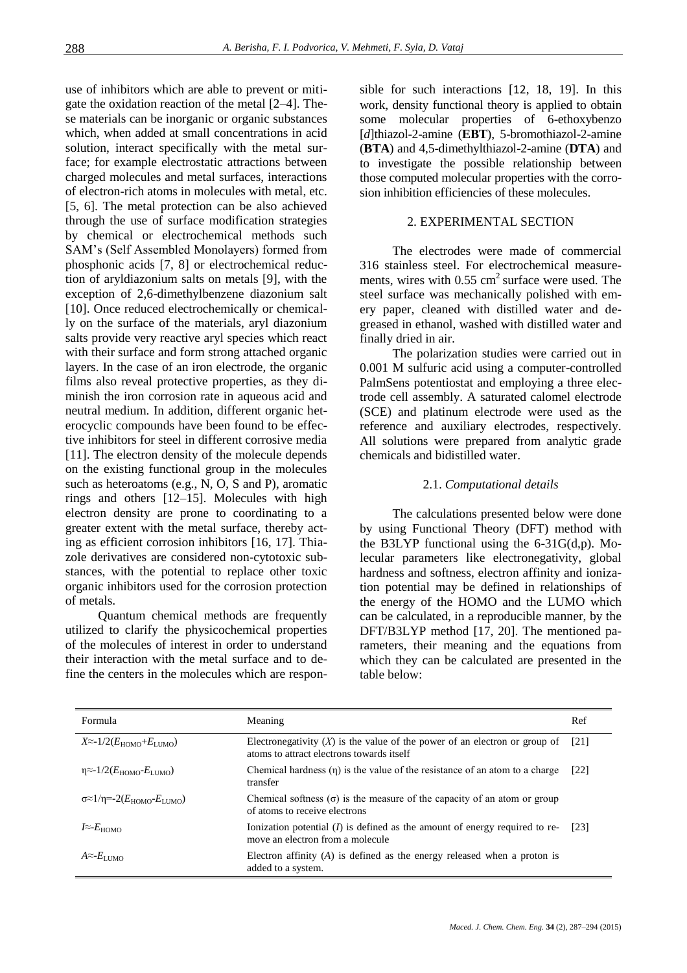use of inhibitors which are able to prevent or mitigate the oxidation reaction of the metal [2–4]. These materials can be inorganic or organic substances which, when added at small concentrations in acid solution, interact specifically with the metal surface; for example electrostatic attractions between charged molecules and metal surfaces, interactions of electron-rich atoms in molecules with metal, etc. [5, 6]. The metal protection can be also achieved through the use of surface modification strategies by chemical or electrochemical methods such SAM's (Self Assembled Monolayers) formed from phosphonic acids [7, 8] or electrochemical reduction of aryldiazonium salts on metals [9], with the exception of 2,6-dimethylbenzene diazonium salt [10]. Once reduced electrochemically or chemically on the surface of the materials, aryl diazonium salts provide very reactive aryl species which react with their surface and form strong attached organic layers. In the case of an iron electrode, the organic films also reveal protective properties, as they diminish the iron corrosion rate in aqueous acid and neutral medium. In addition, different organic heterocyclic compounds have been found to be effective inhibitors for steel in different corrosive media [11]. The electron density of the molecule depends on the existing functional group in the molecules such as heteroatoms (e.g., N, O, S and P), aromatic rings and others [12–15]. Molecules with high electron density are prone to coordinating to a greater extent with the metal surface, thereby acting as efficient corrosion inhibitors [16, 17]. Thiazole derivatives are considered non-cytotoxic substances, with the potential to replace other toxic organic inhibitors used for the corrosion protection of metals.

Quantum chemical methods are frequently utilized to clarify the physicochemical properties of the molecules of interest in order to understand their interaction with the metal surface and to define the centers in the molecules which are responsible for such interactions [12, 18, 19]. In this work, density functional theory is applied to obtain some molecular properties of 6-ethoxybenzo [*d*]thiazol-2-amine (**EBT**), 5-bromothiazol-2-amine (**BTA**) and 4,5-dimethylthiazol-2-amine (**DTA**) and to investigate the possible relationship between those computed molecular properties with the corrosion inhibition efficiencies of these molecules.

# 2. EXPERIMENTAL SECTION

The electrodes were made of commercial 316 stainless steel. For electrochemical measurements, wires with  $0.55 \text{ cm}^2$  surface were used. The steel surface was mechanically polished with emery paper, cleaned with distilled water and degreased in ethanol, washed with distilled water and finally dried in air.

The polarization studies were carried out in 0.001 M sulfuric acid using a computer-controlled PalmSens potentiostat and employing a three electrode cell assembly. A saturated calomel electrode (SCE) and platinum electrode were used as the reference and auxiliary electrodes, respectively. All solutions were prepared from analytic grade chemicals and bidistilled water.

# 2.1. *Computational details*

The calculations presented below were done by using Functional Theory (DFT) method with the B3LYP functional using the 6-31G(d,p). Molecular parameters like electronegativity, global hardness and softness, electron affinity and ionization potential may be defined in relationships of the energy of the HOMO and the LUMO which can be calculated, in a reproducible manner, by the DFT/B3LYP method [17, 20]. The mentioned parameters, their meaning and the equations from which they can be calculated are presented in the table below:

| Formula                                                         | Meaning                                                                                                                   | Ref                |
|-----------------------------------------------------------------|---------------------------------------------------------------------------------------------------------------------------|--------------------|
| $X \approx -1/2(E_{\text{HOMO}} + E_{\text{LIMO}})$             | Electronegativity $(X)$ is the value of the power of an electron or group of<br>atoms to attract electrons towards itself | $\lceil 21 \rceil$ |
| $\eta \approx 1/2(E_{HOMO} - E_{LUMO})$                         | Chemical hardness $(\eta)$ is the value of the resistance of an atom to a charge<br>transfer                              | $\lceil 22 \rceil$ |
| $\sigma \approx 1/\eta = -2(E_{\text{HOMO}} - E_{\text{LIMO}})$ | Chemical softness $(\sigma)$ is the measure of the capacity of an atom or group<br>of atoms to receive electrons          |                    |
| $I \approx E_{\rm HOMO}$                                        | Ionization potential $(I)$ is defined as the amount of energy required to re-<br>move an electron from a molecule         | [23]               |
| $A \approx E_{\rm LUMO}$                                        | Electron affinity $(A)$ is defined as the energy released when a proton is<br>added to a system.                          |                    |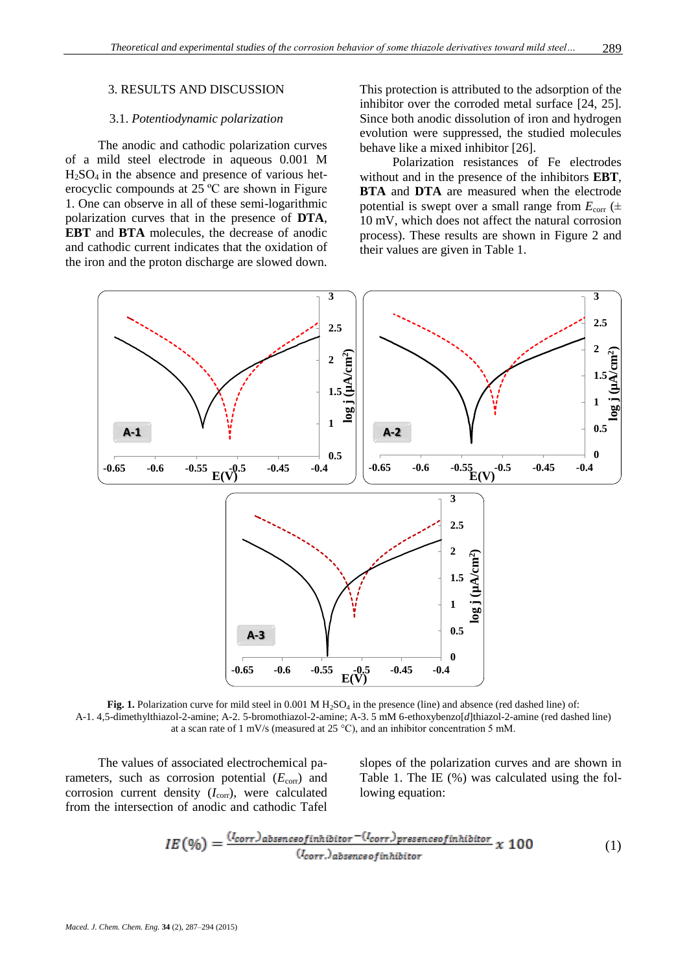### 3. RESULTS AND DISCUSSION

## 3.1. *Potentiodynamic polarization*

The anodic and cathodic polarization curves of a mild steel electrode in aqueous 0.001 M  $H<sub>2</sub>SO<sub>4</sub>$  in the absence and presence of various heterocyclic compounds at 25 ºC are shown in Figure 1. One can observe in all of these semi-logarithmic polarization curves that in the presence of **DTA**, **EBT** and **BTA** molecules, the decrease of anodic and cathodic current indicates that the oxidation of the iron and the proton discharge are slowed down.

This protection is attributed to the adsorption of the inhibitor over the corroded metal surface [24, 25]. Since both anodic dissolution of iron and hydrogen evolution were suppressed, the studied molecules behave like a mixed inhibitor [26].

Polarization resistances of Fe electrodes without and in the presence of the inhibitors **EBT**, **BTA** and **DTA** are measured when the electrode potential is swept over a small range from  $E_{\text{corr}}$  ( $\pm$ 10 mV, which does not affect the natural corrosion process). These results are shown in Figure 2 and their values are given in Table 1.



**Fig. 1.** Polarization curve for mild steel in  $0.001 \text{ M H}_2\text{SO}_4$  in the presence (line) and absence (red dashed line) of: A-1. 4,5-dimethylthiazol-2-amine; A-2. 5-bromothiazol-2-amine; A-3. 5 mM 6-ethoxybenzo[*d*]thiazol-2-amine (red dashed line) at a scan rate of 1 mV/s (measured at 25 °C), and an inhibitor concentration 5 mM.

The values of associated electrochemical parameters, such as corrosion potential ( $E_{\text{corr}}$ ) and corrosion current density  $(I_{\text{corr}})$ , were calculated from the intersection of anodic and cathodic Tafel

slopes of the polarization curves and are shown in Table 1. The IE (%) was calculated using the following equation:

$$
IE(96) = \frac{(l_{corr})_{absenceofinhibitor} - (l_{corr})_{presenceofinhibitor}}{(l_{corr})_{absenceofinhibitor}} \times 100
$$
 (1)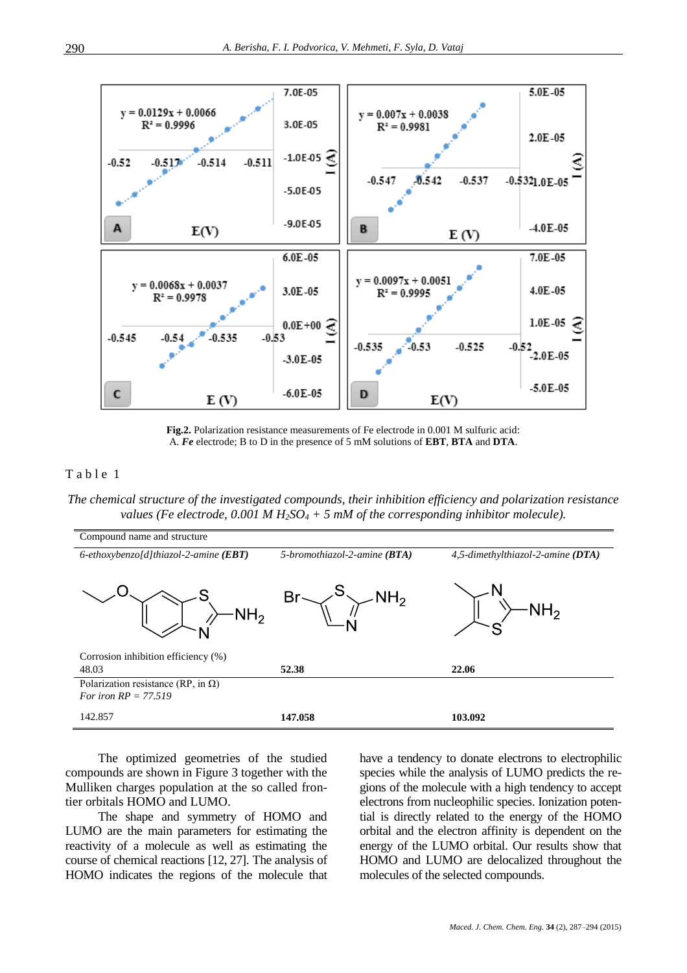

**Fig.2.** Polarization resistance measurements of Fe electrode in 0.001 M sulfuric acid: A. *Fe* electrode; B to D in the presence of 5 mM solutions of **EBT**, **BTA** and **DTA**.

# Table 1

*The chemical structure of the investigated compounds, their inhibition efficiency and polarization resistance values (Fe electrode, 0.001 M H<sub>2</sub>SO<sub>4</sub> + 5 <i>mM of the corresponding inhibitor molecule).* 



The optimized geometries of the studied compounds are shown in Figure 3 together with the Mulliken charges population at the so called frontier orbitals HOMO and LUMO.

The shape and symmetry of HOMO and LUMO are the main parameters for estimating the reactivity of a molecule as well as estimating the course of chemical reactions [12, 27]. The analysis of HOMO indicates the regions of the molecule that have a tendency to donate electrons to electrophilic species while the analysis of LUMO predicts the regions of the molecule with a high tendency to accept electrons from nucleophilic species. Ionization potential is directly related to the energy of the HOMO orbital and the electron affinity is dependent on the energy of the LUMO orbital. Our results show that HOMO and LUMO are delocalized throughout the molecules of the selected compounds.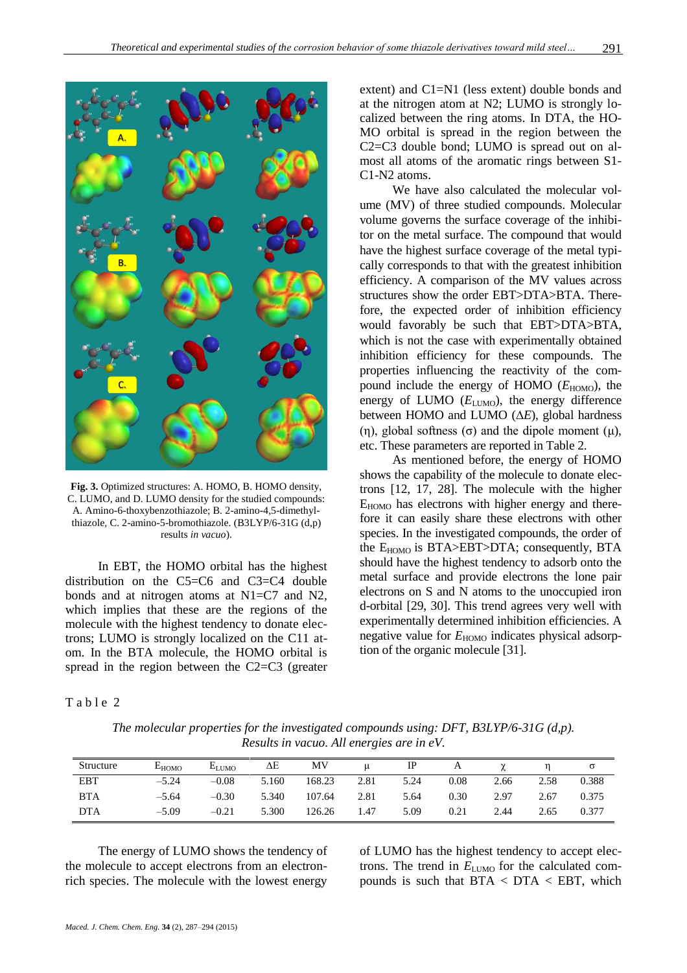

**Fig. 3.** Optimized structures: A. HOMO, B. HOMO density, C. LUMO, and D. LUMO density for the studied compounds: A. Amino-6-thoxybenzothiazole; B. 2-amino-4,5-dimethylthiazole, C. 2-amino-5-bromothiazole*.* (B3LYP/6-31G (d,p) results *in vacuo*).

In EBT, the HOMO orbital has the highest distribution on the C5=C6 and C3=C4 double bonds and at nitrogen atoms at N1=C7 and N2, which implies that these are the regions of the molecule with the highest tendency to donate electrons; LUMO is strongly localized on the C11 atom. In the BTA molecule, the HOMO orbital is spread in the region between the C2=C3 (greater extent) and C1=N1 (less extent) double bonds and at the nitrogen atom at N2; LUMO is strongly localized between the ring atoms. In DTA, the HO-MO orbital is spread in the region between the C2=C3 double bond; LUMO is spread out on almost all atoms of the aromatic rings between S1- C1-N2 atoms.

We have also calculated the molecular volume (MV) of three studied compounds. Molecular volume governs the surface coverage of the inhibitor on the metal surface. The compound that would have the highest surface coverage of the metal typically corresponds to that with the greatest inhibition efficiency. A comparison of the MV values across structures show the order EBT>DTA>BTA. Therefore, the expected order of inhibition efficiency would favorably be such that EBT>DTA>BTA, which is not the case with experimentally obtained inhibition efficiency for these compounds. The properties influencing the reactivity of the compound include the energy of HOMO ( $E_{\text{HOMO}}$ ), the energy of LUMO ( $E_{\text{LUMO}}$ ), the energy difference between HOMO and LUMO (∆*E*), global hardness (η), global softness (σ) and the dipole moment (μ), etc. These parameters are reported in Table 2.

As mentioned before, the energy of HOMO shows the capability of the molecule to donate electrons [12, 17, 28]. The molecule with the higher  $E_{HOMO}$  has electrons with higher energy and therefore it can easily share these electrons with other species. In the investigated compounds, the order of the  $E_{HOMO}$  is BTA>EBT>DTA; consequently, BTA should have the highest tendency to adsorb onto the metal surface and provide electrons the lone pair electrons on S and N atoms to the unoccupied iron d-orbital [29, 30]. This trend agrees very well with experimentally determined inhibition efficiencies. A negative value for  $E_{\text{HOMO}}$  indicates physical adsorption of the organic molecule [31].

#### Table 2

*The molecular properties for the investigated compounds using: DFT, B3LYP/6-31G (d,p). Results in vacuo. All energies are in eV.*

| Structure  | $E_{HOMO}$ | $E_{LIMO}$ | ΔΕ    | MV     |      | IP   |      |      |      |       |
|------------|------------|------------|-------|--------|------|------|------|------|------|-------|
| <b>EBT</b> | $-5.24$    | $-0.08$    | 5.160 | 168.23 | 2.81 | 5.24 | 0.08 | 2.66 | 2.58 | 0.388 |
| <b>BTA</b> | $-5.64$    | $-0.30$    | 5.340 | 107.64 | 2.81 | 5.64 | 0.30 | 2.97 | 2.67 | 0.375 |
| <b>DTA</b> | $-5.09$    | $-0.21$    | 5.300 | 126.26 | 1.47 | 5.09 | 0.21 | 2.44 | 2.65 | 0.377 |

The energy of LUMO shows the tendency of the molecule to accept electrons from an electronrich species. The molecule with the lowest energy

of LUMO has the highest tendency to accept electrons. The trend in  $E_{\text{LUMO}}$  for the calculated compounds is such that  $BTA < DTA < EBT$ , which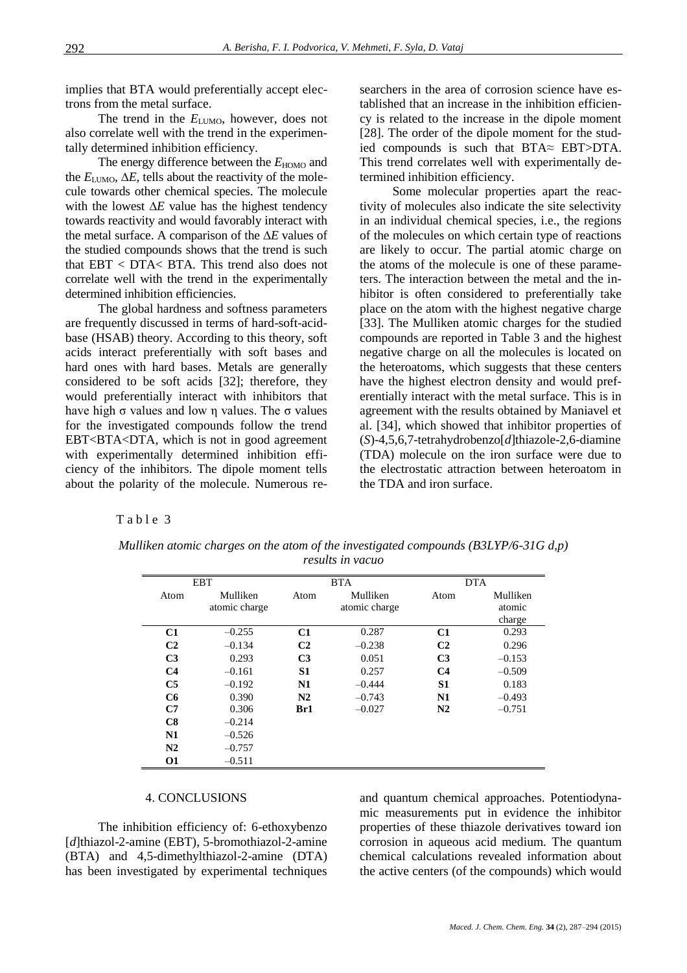implies that BTA would preferentially accept electrons from the metal surface.

The trend in the  $E_{\text{LUMO}}$ , however, does not also correlate well with the trend in the experimentally determined inhibition efficiency.

The energy difference between the  $E_{\text{HOMO}}$  and the  $E_{\text{LUMO}}$ ,  $\Delta E$ , tells about the reactivity of the molecule towards other chemical species. The molecule with the lowest ∆*E* value has the highest tendency towards reactivity and would favorably interact with the metal surface. A comparison of the ∆*E* values of the studied compounds shows that the trend is such that EBT < DTA< BTA. This trend also does not correlate well with the trend in the experimentally determined inhibition efficiencies.

The global hardness and softness parameters are frequently discussed in terms of hard-soft-acidbase (HSAB) theory. According to this theory, soft acids interact preferentially with soft bases and hard ones with hard bases. Metals are generally considered to be soft acids [32]; therefore, they would preferentially interact with inhibitors that have high σ values and low η values. The σ values for the investigated compounds follow the trend EBT<BTA<DTA, which is not in good agreement with experimentally determined inhibition efficiency of the inhibitors. The dipole moment tells about the polarity of the molecule. Numerous researchers in the area of corrosion science have established that an increase in the inhibition efficiency is related to the increase in the dipole moment [28]. The order of the dipole moment for the studied compounds is such that BTA≈ EBT>DTA. This trend correlates well with experimentally determined inhibition efficiency.

Some molecular properties apart the reactivity of molecules also indicate the site selectivity in an individual chemical species, i.e., the regions of the molecules on which certain type of reactions are likely to occur. The partial atomic charge on the atoms of the molecule is one of these parameters. The interaction between the metal and the inhibitor is often considered to preferentially take place on the atom with the highest negative charge [33]. The Mulliken atomic charges for the studied compounds are reported in Table 3 and the highest negative charge on all the molecules is located on the heteroatoms, which suggests that these centers have the highest electron density and would preferentially interact with the metal surface. This is in agreement with the results obtained by Maniavel et al. [34], which showed that inhibitor properties of (*S*)-4,5,6,7-tetrahydrobenzo[*d*]thiazole-2,6-diamine (TDA) molecule on the iron surface were due to the electrostatic attraction between heteroatom in the TDA and iron surface.

# Table 3

|                | <b>EBT</b>                |                | <b>BTA</b>                |                | <b>DTA</b>                   |
|----------------|---------------------------|----------------|---------------------------|----------------|------------------------------|
| Atom           | Mulliken<br>atomic charge | Atom           | Mulliken<br>atomic charge | Atom           | Mulliken<br>atomic<br>charge |
| C1             | $-0.255$                  | C1             | 0.287                     | C1             | 0.293                        |
| C <sub>2</sub> | $-0.134$                  | C <sub>2</sub> | $-0.238$                  | C <sub>2</sub> | 0.296                        |
| C <sub>3</sub> | 0.293                     | C <sub>3</sub> | 0.051                     | C <sub>3</sub> | $-0.153$                     |
| C <sub>4</sub> | $-0.161$                  | S <sub>1</sub> | 0.257                     | C <sub>4</sub> | $-0.509$                     |
| C <sub>5</sub> | $-0.192$                  | N1             | $-0.444$                  | S1             | 0.183                        |
| C6             | 0.390                     | N <sub>2</sub> | $-0.743$                  | N1             | $-0.493$                     |
| C7             | 0.306                     | Br1            | $-0.027$                  | N <sub>2</sub> | $-0.751$                     |
| C8             | $-0.214$                  |                |                           |                |                              |
| N1             | $-0.526$                  |                |                           |                |                              |
| N2             | $-0.757$                  |                |                           |                |                              |
| <b>O1</b>      | $-0.511$                  |                |                           |                |                              |

*Mulliken atomic charges on the atom of the investigated compounds (B3LYP/6-31G d,p) results in vacuo*

#### 4. CONCLUSIONS

The inhibition efficiency of: 6-ethoxybenzo [*d*]thiazol-2-amine (EBT), 5-bromothiazol-2-amine (BTA) and 4,5-dimethylthiazol-2-amine (DTA) has been investigated by experimental techniques

and quantum chemical approaches. Potentiodynamic measurements put in evidence the inhibitor properties of these thiazole derivatives toward ion corrosion in aqueous acid medium. The quantum chemical calculations revealed information about the active centers (of the compounds) which would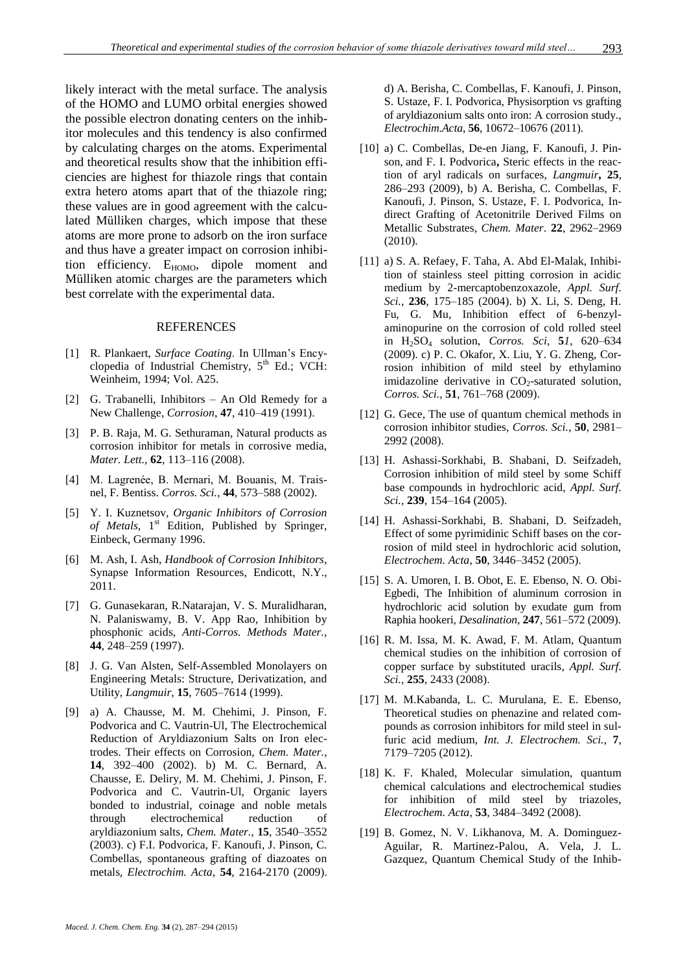likely interact with the metal surface. The analysis of the HOMO and LUMO orbital energies showed the possible electron donating centers on the inhibitor molecules and this tendency is also confirmed by calculating charges on the atoms. Experimental and theoretical results show that the inhibition efficiencies are highest for thiazole rings that contain extra hetero atoms apart that of the thiazole ring; these values are in good agreement with the calculated Mülliken charges, which impose that these atoms are more prone to adsorb on the iron surface and thus have a greater impact on corrosion inhibition efficiency.  $E_{HOMO}$ , dipole moment and Mülliken atomic charges are the parameters which best correlate with the experimental data.

#### **REFERENCES**

- [1] R. Plankaert, *Surface Coating*. In Ullman's Encyclopedia of Industrial Chemistry,  $5<sup>th</sup>$  Ed.; VCH: Weinheim, 1994; Vol. A25.
- [2] G. Trabanelli, Inhibitors An Old Remedy for a New Challenge, *Corrosion*, **47**, 410–419 (1991).
- [3] P. B. Raja, M. G. Sethuraman, Natural products as corrosion inhibitor for metals in corrosive media, *Mater. Lett.*, **62**, 113–116 (2008).
- [4] M. Lagrenée, B. Mernari, M. Bouanis, M. Traisnel, F. Bentiss. *Corros. Sci.*, **44**, 573–588 (2002).
- [5] Y. I. Kuznetsov, *Organic Inhibitors of Corrosion*  of Metals, 1<sup>st</sup> Edition, Published by Springer, Einbeck, Germany 1996.
- [6] M. Ash, I. Ash, *Handbook of Corrosion Inhibitors*, Synapse Information Resources, Endicott, N.Y., 2011.
- [7] G. Gunasekaran, R.Natarajan, V. S. Muralidharan, N. Palaniswamy, B. V. App Rao, Inhibition by phosphonic acids, *Anti-Corros. Methods Mater.,* **44**, 248–259 (1997).
- [8] J. G. Van Alsten, Self-Assembled Monolayers on Engineering Metals: Structure, Derivatization, and Utility, *Langmuir*, **15**, 7605–7614 (1999).
- [9] a) A. Chausse, M. M. Chehimi, J. Pinson, F. Podvorica and C. Vautrin-Ul, The Electrochemical Reduction of Aryldiazonium Salts on Iron electrodes. Their effects on Corrosion, *Chem. Mater.*, **14**, 392–400 (2002). b) M. C. Bernard, A. Chausse, E. Deliry, M. M. Chehimi, J. Pinson, F. Podvorica and C. Vautrin-Ul, Organic layers bonded to industrial, coinage and noble metals through electrochemical reduction of aryldiazonium salts, *Chem. Mater.*, **15**, 3540–3552 (2003). c) F.I. Podvorica, F. Kanoufi, J. Pinson, C. Combellas, spontaneous grafting of diazoates on metals, *Electrochim. Acta*, **54***,* 2164-2170 (2009).

d) A. Berisha, C. Combellas, F. Kanoufi, J. Pinson, S. Ustaze, F. I. Podvorica, Physisorption vs grafting of aryldiazonium salts onto iron: A corrosion study., *Electrochim.Acta*, **56**, 10672–10676 (2011).

- [10] a) C. Combellas, De-en Jiang, F. Kanoufi, J. Pinson, and F. I. Podvorica**,** Steric effects in the reaction of aryl radicals on surfaces, *Langmuir***, 25**, 286–293 (2009), b) A. Berisha, C. Combellas, F. Kanoufi, J. Pinson, S. Ustaze, F. I. Podvorica, Indirect Grafting of Acetonitrile Derived Films on Metallic Substrates, *Chem. Mater*. **22**, 2962–2969 (2010).
- [11] a) S. A. Refaey, F. Taha, A. Abd El-Malak, Inhibition of stainless steel pitting corrosion in acidic medium by 2-mercaptobenzoxazole, *Appl. Surf. Sci.,* **236**, 175–185 (2004). b) X. Li, S. Deng, H. Fu, G. Mu, Inhibition effect of 6-benzylaminopurine on the corrosion of cold rolled steel in H2SO<sup>4</sup> solution, *Corros. Sci,* **5***1*, 620–634 (2009). c) P. C. Okafor, X. Liu, Y. G. Zheng, Corrosion inhibition of mild steel by ethylamino imidazoline derivative in  $CO<sub>2</sub>$ -saturated solution, *Corros. Sci.,* **51**, 761–768 (2009).
- [12] G. Gece, The use of quantum chemical methods in corrosion inhibitor studies, *Corros. Sci.*, **50**, 2981– 2992 (2008).
- [13] H. Ashassi-Sorkhabi, B. Shabani, D. Seifzadeh, Corrosion inhibition of mild steel by some Schiff base compounds in hydrochloric acid, *Appl. Surf. Sci.,* **239**, 154–164 (2005).
- [14] H. Ashassi-Sorkhabi, B. Shabani, D. Seifzadeh, Effect of some pyrimidinic Schiff bases on the corrosion of mild steel in hydrochloric acid solution, *Electrochem. Acta*, **50**, 3446–3452 (2005).
- [15] S. A. Umoren, I. B. Obot, E. E. Ebenso, N. O. Obi-Egbedi, The Inhibition of aluminum corrosion in hydrochloric acid solution by exudate gum from Raphia hookeri, *Desalination*, **247**, 561–572 (2009).
- [16] R. M. Issa, M. K. Awad, F. M. Atlam, Quantum chemical studies on the inhibition of corrosion of copper surface by substituted uracils, *Appl. Surf. Sci.,* **255**, 2433 (2008).
- [17] M. M.Kabanda, L. C. Murulana, E. E. Ebenso, Theoretical studies on phenazine and related compounds as corrosion inhibitors for mild steel in sulfuric acid medium, *Int. J. Electrochem. Sci.*, **7**, 7179–7205 (2012).
- [18] K. F. Khaled, Molecular simulation, quantum chemical calculations and electrochemical studies for inhibition of mild steel by triazoles, *Electrochem. Acta*, **53**, 3484–3492 (2008).
- [19] B. Gomez, N. V. Likhanova, M. A. Dominguez-Aguilar, R. Martinez-Palou, A. Vela, J. L. Gazquez, Quantum Chemical Study of the Inhib-